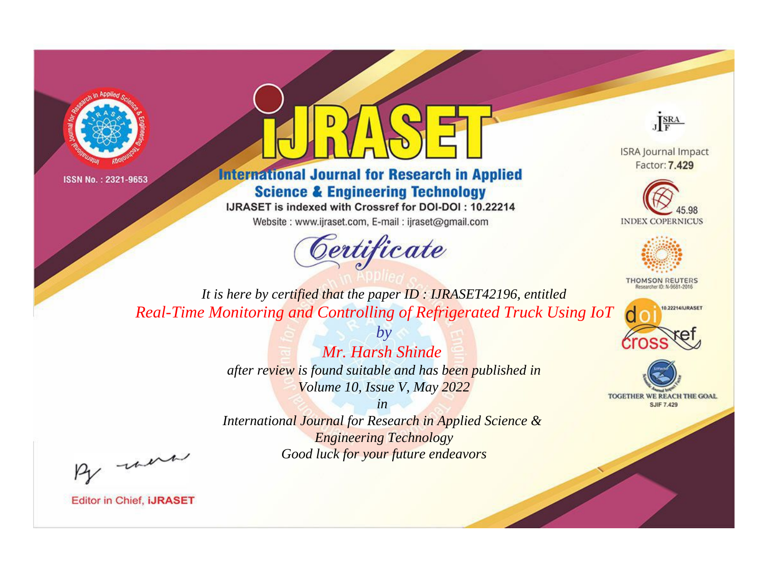



**International Journal for Research in Applied Science & Engineering Technology** 

IJRASET is indexed with Crossref for DOI-DOI: 10.22214

Website: www.ijraset.com, E-mail: ijraset@gmail.com



JERA

**ISRA Journal Impact** Factor: 7.429





**THOMSON REUTERS** 



TOGETHER WE REACH THE GOAL **SJIF 7.429** 

*It is here by certified that the paper ID : IJRASET42196, entitled Real-Time Monitoring and Controlling of Refrigerated Truck Using IoT*

> *Mr. Harsh Shinde after review is found suitable and has been published in Volume 10, Issue V, May 2022*

*by*

*in* 

*International Journal for Research in Applied Science & Engineering Technology Good luck for your future endeavors*

By morn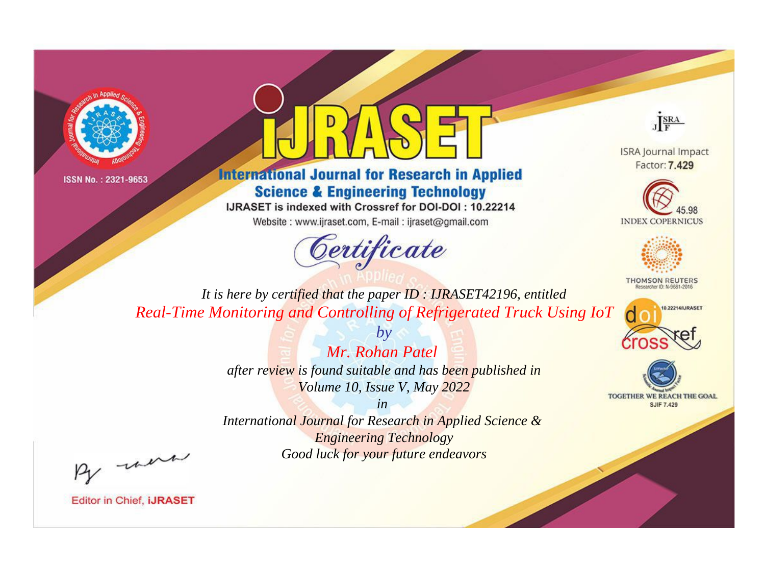



**International Journal for Research in Applied Science & Engineering Technology** 

IJRASET is indexed with Crossref for DOI-DOI: 10.22214

Website: www.ijraset.com, E-mail: ijraset@gmail.com



JERA

**ISRA Journal Impact** Factor: 7.429





**THOMSON REUTERS** 



TOGETHER WE REACH THE GOAL **SJIF 7.429** 

*It is here by certified that the paper ID : IJRASET42196, entitled Real-Time Monitoring and Controlling of Refrigerated Truck Using IoT*

> *Mr. Rohan Patel after review is found suitable and has been published in Volume 10, Issue V, May 2022*

*by*

*in* 

*International Journal for Research in Applied Science & Engineering Technology Good luck for your future endeavors*

By morn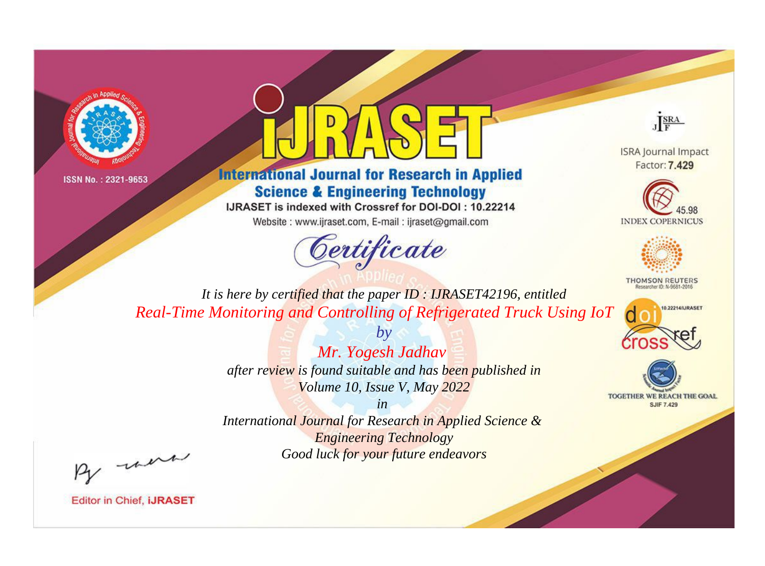



**International Journal for Research in Applied Science & Engineering Technology** 

IJRASET is indexed with Crossref for DOI-DOI: 10.22214

Website: www.ijraset.com, E-mail: ijraset@gmail.com



JERA

**ISRA Journal Impact** Factor: 7,429





**THOMSON REUTERS** 



TOGETHER WE REACH THE GOAL **SJIF 7.429** 

*It is here by certified that the paper ID : IJRASET42196, entitled Real-Time Monitoring and Controlling of Refrigerated Truck Using IoT*

> *Mr. Yogesh Jadhav after review is found suitable and has been published in Volume 10, Issue V, May 2022*

*by*

*in* 

*International Journal for Research in Applied Science & Engineering Technology Good luck for your future endeavors*

By morn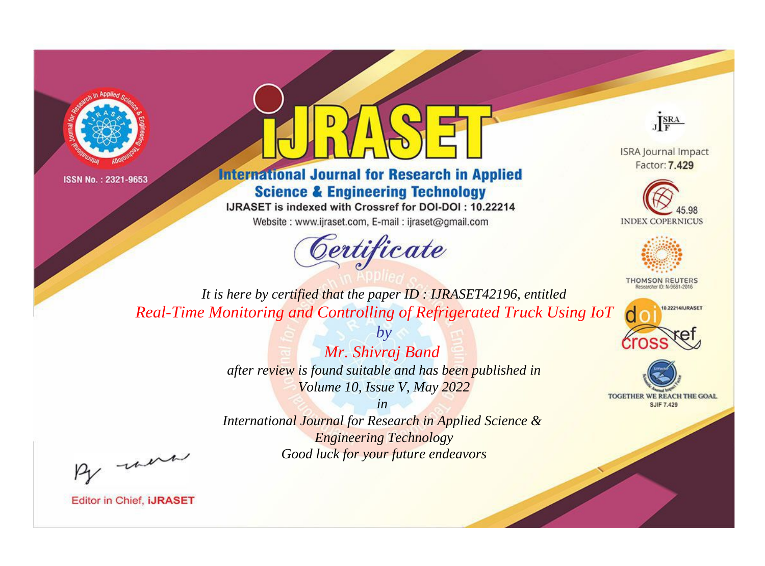



**International Journal for Research in Applied Science & Engineering Technology** 

IJRASET is indexed with Crossref for DOI-DOI: 10.22214

Website: www.ijraset.com, E-mail: ijraset@gmail.com



JERA

**ISRA Journal Impact** Factor: 7,429





**THOMSON REUTERS** 



TOGETHER WE REACH THE GOAL **SJIF 7.429** 

*It is here by certified that the paper ID : IJRASET42196, entitled Real-Time Monitoring and Controlling of Refrigerated Truck Using IoT*

> *Mr. Shivraj Band after review is found suitable and has been published in Volume 10, Issue V, May 2022*

*by*

*in* 

*International Journal for Research in Applied Science & Engineering Technology Good luck for your future endeavors*

By morn